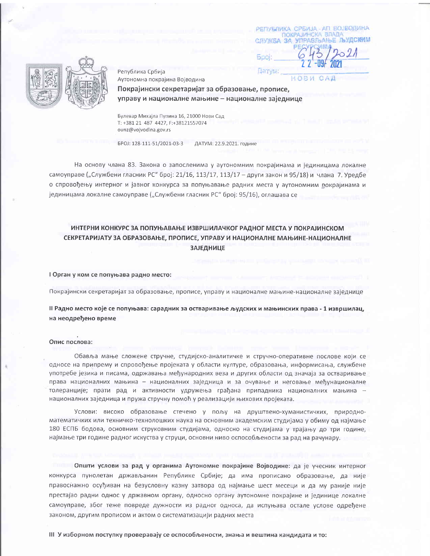РЕПУБЛИКА СРБИЈА - АП ВОЈВОДИНА ПОКРАЈИНСКА ВЛАДА СЛУЖБА ЗА УПРАВЛЬАНЬЕ ЛЬУДСКИМ

NSOH

Датум:

Република Србија Аутономна покрајина Војводина

Покрајински секретаријат за образовање, прописе, управу и националне мањине - националне заједнице

Булевар Михајла Пупина 16, 21000 Нови Сад T: +381 21 487 4427, F:+38121557074 ounz@vojvodina.gov.rs

БРОЈ: 128-111-51/2021-03-3 ДАТУМ: 22.9.2021. године

На основу члана 83. Закона о запосленима у аутономним покрајинама и јединицама локалне самоуправе ("Службени гласник РС" број: 21/16, 113/17, 113/17 - други закон и 95/18) и члана 7. Уредбе о спровођењу интерног и јавног конкурса за попуњавање радних места у аутономним докрајинама и јединицама локалне самоуправе ("Службени гласник РС" број: 95/16), оглашава се

# ИНТЕРНИ КОНКУРС ЗА ПОПУЊАВАЊЕ ИЗВРШИЛАЧКОГ РАДНОГ МЕСТА У ПОКРАЈИНСКОМ СЕКРЕТАРИЈАТУ ЗА ОБРАЗОВАЊЕ, ПРОПИСЕ, УПРАВУ И НАЦИОНАЛНЕ МАЊИНЕ-НАЦИОНАЛНЕ **ЗАЈЕДНИЦЕ**

I Орган у ком се попуњава радно место:

Покрајински секретаријат за образовање, прописе, управу и националне мањине-националне заједнице

II Радно место које се попуњава: сарадник за остваривање људских и мањинских права - 1 извршилац, на неодређено време

## Опис послова:

Обавља мање сложене стручне, студијско-аналитичке и стручно-оперативне послове који се односе на припрему и спровођење пројеката у области културе, образовања, информисања, службене употребе језика и писама, одржавања међународних веза и других области од значаја за остваривање права националних мањина - националних заједница и за очување и неговање међунационалне толеранције; прати рад и активности удружења грађана припадника националних мањина националних заједница и пружа стручну помоћ у реализацији њихових пројеката.

Услови: високо образовање стечено у пољу на друштвено-хуманистичких, природноматематичких или техничко-технолошких наука на основним академским студијама у обиму од најмање 180 ЕСПБ бодова, основним струковним студијама, односно на студијама у трајању до три године, најмање три године радног искуства у струци, основни ниво оспособљености за рад на рачунару.

Општи услови за рад у органима Аутономне покрајине Војводине: да је учесник интерног конкурса пунолетан држављанин Републике Србије; да има прописано образовање, да није правоснажно осуђиван на безусловну казну затвора од најмање шест месеци и да му раније није престајао радни однос у државном органу, односно органу аутономне покрајине и јединице локалне самоуправе, због теже повреде дужности из радног односа, да испуњава остале услове одређене законом, другим прописом и актом о систематизацији радних места

III У изборном поступку проверавају се оспособљености, знања и вештина кандидата и то: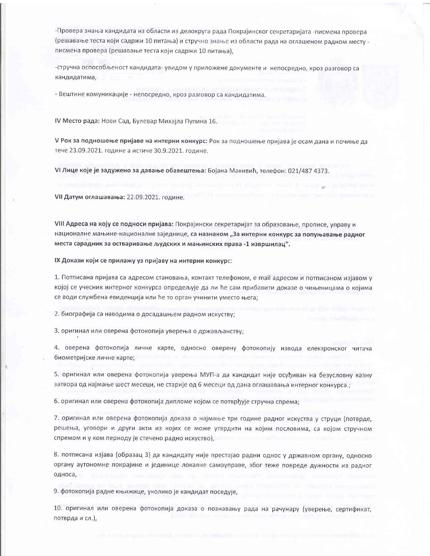-Провера знања кандидата из области из делокруга рада Покрајинског секретаријата -писмена провера (решавање теста који садржи 10 питања) и стручно знање из области рада на оглашеном радном месту писмена провера (решавање теста који садржи 10 питања),

-стручна оспособљеност кандидата- увидом у приложене документе и непосредно, кроз разговор са кандидатима,

- Вештине комуникације - непосредно, кроз разговор са кандидатима.

IV Место рада: Нови Сад, Булевар Михајла Пупина 16.

V Рок за подношење пријаве на интерни конкурс: Рок за подношење пријава је осам дана и почиње да тече 23.09.2021. године а истиче 30.9.2021. године.

VI Лице које је задужено за давање обавештења: Бојана Макивић, телефон: 021/487 4373.

VII Датум оглашавања: 22.09.2021. године.

VIII Адреса на коју се подноси пријава: Покрајински секретаријат за образовање, прописе, управу и националне мањине-националне заједнице, са назнаком "За интерни конкурс за попуњавање радног места сарадник за остваривање људских и мањинских права -1 извршилац".

IX Докази који се прилажу уз пријаву на интерни конкурс:

1. Потписана пријава са адресом становања, контакт телефоном, е mail адресом и потписаном изјавом у којој се учесник интерног конкурса опредељује да ли ће сам прибавити доказе о чињеницама о којима се води службена евиденција или ће то орган учинити уместо њега;

2. биографија са наводима о досадашњем радном искуству;

3. оригинал или оверена фотокопија уверења о држављанству;

4. оверена фотокопија личне карте, односно оверену фотокопију извода електронског читача биометријске личне карте;

5. оригинал или оверена фотокопија уверења МУП-а да кандидат није осуђиван на безусловну казну затвора од најмање шест месеци, не старије од 6 месеци од дана оглашавања интерног конкурса.;

6. оригинал или оверена фотокопија дипломе којом се потврђује стручна спрема;

7. оригинал или оверена фотокопија доказа о најмање три године радног искуства у струци (потврде, решења, уговори и други акти из којих се може утврдити на којим пословима, са којом стручном спремом и у ком периоду је стечено радно искуство),

8. потписана изјава (образац 3) да кандидату није престајао радни однос у државном органу, односно органу аутономне покрајине и јединице локалне самоуправе, због теже повреде дужности из радног односа,

9. фотокопија радне књижице, уколико је кандидат поседује,

10. оригинал или оверена фотокопија доказа о познавању рада на рачунару (уверење, сертификат, потврда и сл.),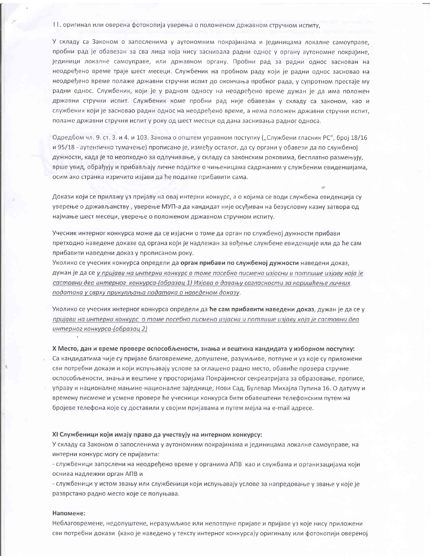11. оригинал или оверена фотокопија уверења о положеном државном стручном испиту,

У складу са Законом о запосленима у аутономним покрајинама и јединицама локалне самоуправе, пробни рад је обавезан за сва лица која нису заснивала радни однос у органу аутономне покрајине, јединици локалне самоуправе, или државном органу. Пробни рад за радни однос заснован на неодређено време траје шест месеци. Службеник на пробном раду који је радни однос засновао на неодређено време полаже државни стручни испит до окончања пробног рада, у супротном престаје му радни однос. Службеник, који је у радном односу на неодређено време дужан је да има положен државни стручни испит. Службеник коме пробни рад није обавезан у складу са законом, као и службеник који је засновао радни однос на неодређено време, а нема положен државни стручни испит, полаже државни стручни испит у року од шест месеци од дана заснивања радног односа.

Одредбом чл. 9. ст. 3. и 4. и 103. Закона о општем управном поступку ("Службени гласник РС", број 18/16 и 95/18 - аутентично тумачење) прописано је, између осталог, да су органи у обавези да по службеној дужности, када је то неопходно за одлучивање, у складу са законским роковима, бесплатно размењују, врше увид, обрађују и прибављају личне податке о чињеницама садржаним у службеним евиденцијама, осим ако странка изричито изјави да ће податке прибавити сама.

Докази који се прилажу уз пријаву на овај интерни конкурс, а о којима се води службена евиденција су уверење о држављанству, уверење МУП-а да кандидат није осуђиван на безусловну казну затвора од најмање шест месеци, уверење о положеном државном стручном испиту.

Учесник интерног конкурса може да се изјасни о томе да орган по службеној дужности прибави претходно наведене доказе од органа који је надлежан за вођење службене евиденције или да ће сам прибавити наведени доказ у прописаном року.

Уколико се учесник конкурса определи да орган прибави по службеној дужности наведени доказ, дужан је да се у пријави на интерни конкурс о томе посебно писмено изјасни и потпише изјаву која је саставни део интерног конкурса-(образац 1) Изјава о давању сагласности за коришћење личних података у сврху прикупљања података о наведеном доказу.

Уколико се учесник интерног конкурса определи да ће сам прибавити наведени доказ, дужан је да се у пријави на интерни конкурс о томе посебно писмено изјасни и потпише изјаву која је саставни део интерног конкурса-(образац 2)

#### Х Место, дан и време провере оспособљености, знања и вештина кандидата у изборном поступку:

Са кандидатима чије су пријаве благовремене, допуштене, разумљиве, потпуне и уз које су приложени сви потребни докази и који испуњавају услове за оглашено радно место, обавиће провера стручне оспособљености, знања и вештине у просторијама Покрајинског секреатријата за образовање, прописе, управу и националне мањине-националне заједнице, Нови Сад, Булевар Михајла Пупина 16. О датуму и времену писмене и усмене провере ће учесници конкурса бити обавештени телефонским путем на бројеве телефона које су доставили у својим пријавама и путем мејла на e-mail адресе.

### XI Службеници који имају право да учествују на интерном конкурсу:

У складу са Законом о запосленима у аутономним покрајинама и јединицама локалне самоуправе, на интерни конкурс могу се пријавити:

- службеници запослени на неодређено време у органима АПВ као и службама и организацијама који оснива надлежни орган АПВ и

- службеници у истом звању или службеници који испуњавају услове за напредовање у звање у које је разврстано радно место које се попуњава.

## Напомене:

Неблаговремене, недопуштене, неразумљиве или непотпуне пријаве и пријаве уз које нису приложени сви потребни докази (како је наведено у тексту интерног конкурса)у оригиналу или фотокопији овереној